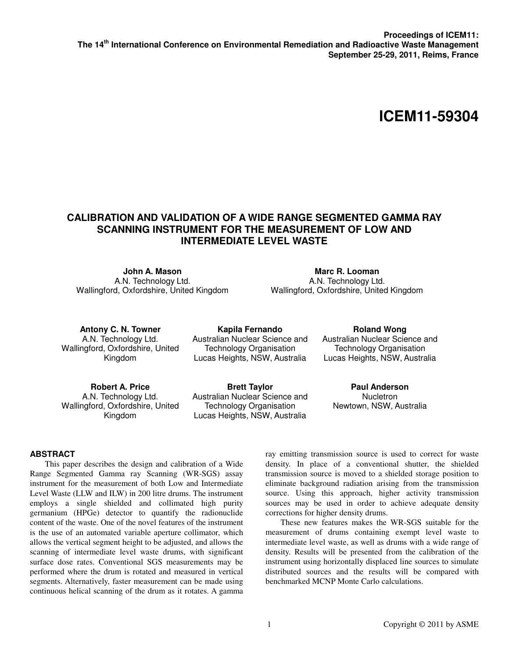# **ICEM11-59304**

## **CALIBRATION AND VALIDATION OF A WIDE RANGE SEGMENTED GAMMA RAY SCANNING INSTRUMENT FOR THE MEASUREMENT OF LOW AND INTERMEDIATE LEVEL WASTE**

**John A. Mason**  A.N. Technology Ltd. Wallingford, Oxfordshire, United Kingdom

**Marc R. Looman**  A.N. Technology Ltd. Wallingford, Oxfordshire, United Kingdom

**Antony C. N. Towner**  A.N. Technology Ltd. Wallingford, Oxfordshire, United Kingdom

**Kapila Fernando**  Australian Nuclear Science and Technology Organisation Lucas Heights, NSW, Australia

**Roland Wong**  Australian Nuclear Science and Technology Organisation Lucas Heights, NSW, Australia

**Robert A. Price**  A.N. Technology Ltd. Wallingford, Oxfordshire, United Kingdom

**Brett Taylor**  Australian Nuclear Science and Technology Organisation Lucas Heights, NSW, Australia

**Paul Anderson Nucletron** Newtown, NSW, Australia

## **ABSTRACT**

This paper describes the design and calibration of a Wide Range Segmented Gamma ray Scanning (WR-SGS) assay instrument for the measurement of both Low and Intermediate Level Waste (LLW and ILW) in 200 litre drums. The instrument employs a single shielded and collimated high purity germanium (HPGe) detector to quantify the radionuclide content of the waste. One of the novel features of the instrument is the use of an automated variable aperture collimator, which allows the vertical segment height to be adjusted, and allows the scanning of intermediate level waste drums, with significant surface dose rates. Conventional SGS measurements may be performed where the drum is rotated and measured in vertical segments. Alternatively, faster measurement can be made using continuous helical scanning of the drum as it rotates. A gamma ray emitting transmission source is used to correct for waste density. In place of a conventional shutter, the shielded transmission source is moved to a shielded storage position to eliminate background radiation arising from the transmission source. Using this approach, higher activity transmission sources may be used in order to achieve adequate density corrections for higher density drums.

These new features makes the WR-SGS suitable for the measurement of drums containing exempt level waste to intermediate level waste, as well as drums with a wide range of density. Results will be presented from the calibration of the instrument using horizontally displaced line sources to simulate distributed sources and the results will be compared with benchmarked MCNP Monte Carlo calculations.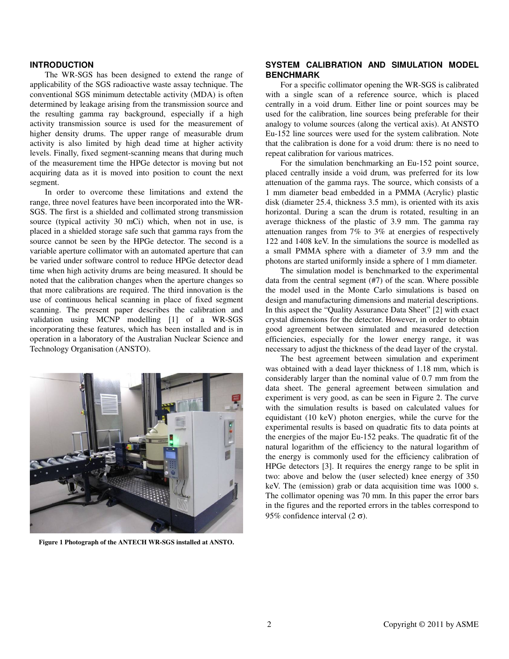#### **INTRODUCTION**

The WR-SGS has been designed to extend the range of applicability of the SGS radioactive waste assay technique. The conventional SGS minimum detectable activity (MDA) is often determined by leakage arising from the transmission source and the resulting gamma ray background, especially if a high activity transmission source is used for the measurement of higher density drums. The upper range of measurable drum activity is also limited by high dead time at higher activity levels. Finally, fixed segment-scanning means that during much of the measurement time the HPGe detector is moving but not acquiring data as it is moved into position to count the next segment.

In order to overcome these limitations and extend the range, three novel features have been incorporated into the WR-SGS. The first is a shielded and collimated strong transmission source (typical activity 30 mCi) which, when not in use, is placed in a shielded storage safe such that gamma rays from the source cannot be seen by the HPGe detector. The second is a variable aperture collimator with an automated aperture that can be varied under software control to reduce HPGe detector dead time when high activity drums are being measured. It should be noted that the calibration changes when the aperture changes so that more calibrations are required. The third innovation is the use of continuous helical scanning in place of fixed segment scanning. The present paper describes the calibration and validation using MCNP modelling [1] of a WR-SGS incorporating these features, which has been installed and is in operation in a laboratory of the Australian Nuclear Science and Technology Organisation (ANSTO).



**Figure 1 Photograph of the ANTECH WR-SGS installed at ANSTO.** 

## **SYSTEM CALIBRATION AND SIMULATION MODEL BENCHMARK**

For a specific collimator opening the WR-SGS is calibrated with a single scan of a reference source, which is placed centrally in a void drum. Either line or point sources may be used for the calibration, line sources being preferable for their analogy to volume sources (along the vertical axis). At ANSTO Eu-152 line sources were used for the system calibration. Note that the calibration is done for a void drum: there is no need to repeat calibration for various matrices.

For the simulation benchmarking an Eu-152 point source, placed centrally inside a void drum, was preferred for its low attenuation of the gamma rays. The source, which consists of a 1 mm diameter bead embedded in a PMMA (Acrylic) plastic disk (diameter 25.4, thickness 3.5 mm), is oriented with its axis horizontal. During a scan the drum is rotated, resulting in an average thickness of the plastic of 3.9 mm. The gamma ray attenuation ranges from 7% to 3% at energies of respectively 122 and 1408 keV. In the simulations the source is modelled as a small PMMA sphere with a diameter of 3.9 mm and the photons are started uniformly inside a sphere of 1 mm diameter.

The simulation model is benchmarked to the experimental data from the central segment (#7) of the scan. Where possible the model used in the Monte Carlo simulations is based on design and manufacturing dimensions and material descriptions. In this aspect the "Quality Assurance Data Sheet" [2] with exact crystal dimensions for the detector. However, in order to obtain good agreement between simulated and measured detection efficiencies, especially for the lower energy range, it was necessary to adjust the thickness of the dead layer of the crystal.

The best agreement between simulation and experiment was obtained with a dead layer thickness of 1.18 mm, which is considerably larger than the nominal value of 0.7 mm from the data sheet. The general agreement between simulation and experiment is very good, as can be seen in Figure 2. The curve with the simulation results is based on calculated values for equidistant (10 keV) photon energies, while the curve for the experimental results is based on quadratic fits to data points at the energies of the major Eu-152 peaks. The quadratic fit of the natural logarithm of the efficiency to the natural logarithm of the energy is commonly used for the efficiency calibration of HPGe detectors [3]. It requires the energy range to be split in two: above and below the (user selected) knee energy of 350 keV. The (emission) grab or data acquisition time was 1000 s. The collimator opening was 70 mm. In this paper the error bars in the figures and the reported errors in the tables correspond to 95% confidence interval  $(2 \sigma)$ .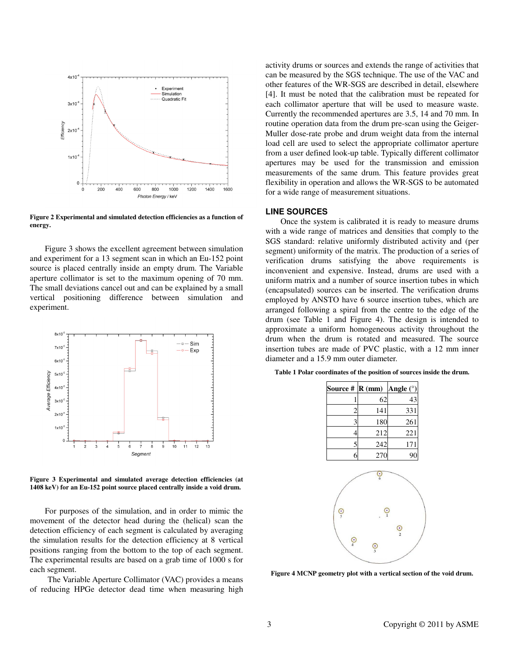

**Figure 2 Experimental and simulated detection efficiencies as a function of energy.** 

Figure 3 shows the excellent agreement between simulation and experiment for a 13 segment scan in which an Eu-152 point source is placed centrally inside an empty drum. The Variable aperture collimator is set to the maximum opening of 70 mm. The small deviations cancel out and can be explained by a small vertical positioning difference between simulation and experiment.



**Figure 3 Experimental and simulated average detection efficiencies (at 1408 keV) for an Eu-152 point source placed centrally inside a void drum.** 

For purposes of the simulation, and in order to mimic the movement of the detector head during the (helical) scan the detection efficiency of each segment is calculated by averaging the simulation results for the detection efficiency at 8 vertical positions ranging from the bottom to the top of each segment. The experimental results are based on a grab time of 1000 s for each segment.

The Variable Aperture Collimator (VAC) provides a means of reducing HPGe detector dead time when measuring high

activity drums or sources and extends the range of activities that can be measured by the SGS technique. The use of the VAC and other features of the WR-SGS are described in detail, elsewhere [4]. It must be noted that the calibration must be repeated for each collimator aperture that will be used to measure waste. Currently the recommended apertures are 3.5, 14 and 70 mm. In routine operation data from the drum pre-scan using the Geiger-Muller dose-rate probe and drum weight data from the internal load cell are used to select the appropriate collimator aperture from a user defined look-up table. Typically different collimator apertures may be used for the transmission and emission measurements of the same drum. This feature provides great flexibility in operation and allows the WR-SGS to be automated for a wide range of measurement situations.

#### **LINE SOURCES**

Once the system is calibrated it is ready to measure drums with a wide range of matrices and densities that comply to the SGS standard: relative uniformly distributed activity and (per segment) uniformity of the matrix. The production of a series of verification drums satisfying the above requirements is inconvenient and expensive. Instead, drums are used with a uniform matrix and a number of source insertion tubes in which (encapsulated) sources can be inserted. The verification drums employed by ANSTO have 6 source insertion tubes, which are arranged following a spiral from the centre to the edge of the drum (see Table 1 and Figure 4). The design is intended to approximate a uniform homogeneous activity throughout the drum when the drum is rotated and measured. The source insertion tubes are made of PVC plastic, with a 12 mm inner diameter and a 15.9 mm outer diameter.

| Source #       | $R$ (mm)            | Angle $(°)$ |
|----------------|---------------------|-------------|
| 1              | 62                  | 43          |
|                | 141                 | 331         |
| $rac{2}{3}$    | 180                 | 261         |
| $\overline{4}$ | 212                 | 221         |
| $\frac{5}{2}$  | 242                 | 171         |
| 6              | 270                 | 90          |
| $\frac{6}{5}$  | င့<br>$\frac{C}{1}$ |             |
| $\odot$        | $\frac{1}{3}$       | $rac{6}{2}$ |

**Figure 4 MCNP geometry plot with a vertical section of the void drum.**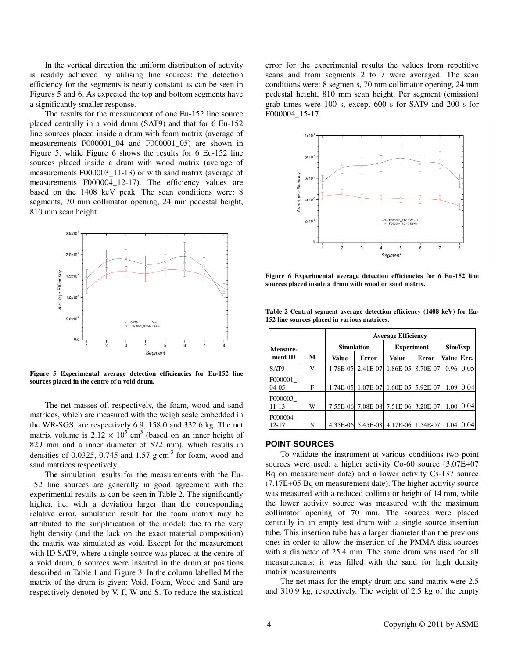In the vertical direction the uniform distribution of activity is readily achieved by utilising line sources: the detection efficiency for the segments is nearly constant as can be seen in Figures 5 and 6. As expected the top and bottom segments have a significantly smaller response.

The results for the measurement of one Eu-152 line source placed centrally in a void drum (SAT9) and that for 6 Eu-152 line sources placed inside a drum with foam matrix (average of measurements F000001 04 and F000001 05) are shown in Figure 5, while Figure 6 shows the results for 6 Eu-152 line sources placed inside a drum with wood matrix (average of measurements F000003 11-13) or with sand matrix (average of measurements F000004\_12-17). The efficiency values are based on the 1408 keV peak. The scan conditions were: 8 segments, 70 mm collimator opening, 24 mm pedestal height, 810 mm scan height.



**Figure 5 Experimental average detection efficiencies for Eu-152 line sources placed in the centre of a void drum.** 

The net masses of, respectively, the foam, wood and sand matrices, which are measured with the weigh scale embedded in the WR-SGS, are respectively 6.9, 158.0 and 332.6 kg. The net matrix volume is  $2.12 \times 10^5$  cm<sup>3</sup> (based on an inner height of 829 mm and a inner diameter of 572 mm), which results in densities of 0.0325, 0.745 and 1.57 g⋅cm<sup>-3</sup> for foam, wood and sand matrices respectively.

The simulation results for the measurements with the Eu-152 line sources are generally in good agreement with the experimental results as can be seen in Table 2. The significantly higher, i.e. with a deviation larger than the corresponding relative error, simulation result for the foam matrix may be attributed to the simplification of the model: due to the very light density (and the lack on the exact material composition) the matrix was simulated as void. Except for the measurement with ID SAT9, where a single source was placed at the centre of a void drum, 6 sources were inserted in the drum at positions described in Table 1 and Figure 3. In the column labelled M the matrix of the drum is given: Void, Foam, Wood and Sand are respectively denoted by V, F, W and S. To reduce the statistical

error for the experimental results the values from repetitive scans and from segments 2 to 7 were averaged. The scan conditions were: 8 segments, 70 mm collimator opening, 24 mm pedestal height, 810 mm scan height. Per segment (emission) grab times were 100 s, except 600 s for SAT9 and 200 s for F000004\_15-17.



**Figure 6 Experimental average detection efficiencies for 6 Eu-152 line sources placed inside a drum with wood or sand matrix.** 

|                      |   | <b>Average Efficiency</b> |                   |                                     |                   |            |      |  |  |
|----------------------|---|---------------------------|-------------------|-------------------------------------|-------------------|------------|------|--|--|
| <b>Measure-</b>      |   | <b>Simulation</b>         |                   | <b>Experiment</b>                   | Sim/Exp           |            |      |  |  |
| ment ID              | М | Value                     | <b>Error</b>      | Value                               | <b>Error</b>      | Value Err. |      |  |  |
| SAT9                 | V | 1.78E-05                  | 2.41E-07          | 1.86E-05                            | 8.70E-07          | 0.96       | 0.05 |  |  |
| F000001<br>04-05     | F |                           | 1.74E-05 1.07E-07 |                                     | 1.60E-05 5.92E-07 | 1.09       | 0.04 |  |  |
| F000003<br>11-13     | W |                           |                   | 7.55E-06 7.08E-08 7.51E-06 3.20E-07 |                   | 1.00       | 0.04 |  |  |
| F000004<br>$12 - 17$ | S |                           |                   | 4.35E-06 5.45E-08 4.17E-06 1.54E-07 |                   | 1.04       | 0.04 |  |  |

**Table 2 Central segment average detection efficiency (1408 keV) for Eu-152 line sources placed in various matrices.** 

#### **POINT SOURCES**

To validate the instrument at various conditions two point sources were used: a higher activity Co-60 source (3.07E+07 Bq on measurement date) and a lower activity Cs-137 source (7.17E+05 Bq on measurement date). The higher activity source was measured with a reduced collimator height of 14 mm, while the lower activity source was measured with the maximum collimator opening of 70 mm. The sources were placed centrally in an empty test drum with a single source insertion tube. This insertion tube has a larger diameter than the previous ones in order to allow the insertion of the PMMA disk sources with a diameter of 25.4 mm. The same drum was used for all measurements: it was filled with the sand for high density matrix measurements.

The net mass for the empty drum and sand matrix were 2.5 and 310.9 kg, respectively. The weight of 2.5 kg of the empty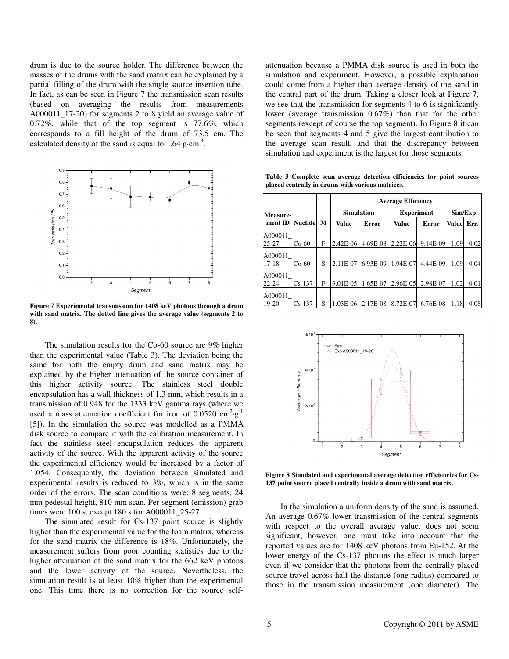drum is due to the source holder. The difference between the masses of the drums with the sand matrix can be explained by a partial filling of the drum with the single source insertion tube. In fact, as can be seen in Figure 7 the transmission scan results (based on averaging the results from measurements A000011 17-20) for segments 2 to 8 yield an average value of 0.72%, while that of the top segment is 77.6%, which corresponds to a fill height of the drum of 73.5 cm. The calculated density of the sand is equal to  $1.64$  g⋅cm<sup>-3</sup>.



**Figure 7 Experimental transmission for 1408 keV photons through a drum with sand matrix. The dotted line gives the average value (segments 2 to 8).** 

The simulation results for the Co-60 source are 9% higher than the experimental value (Table 3). The deviation being the same for both the empty drum and sand matrix may be explained by the higher attenuation of the source container of this higher activity source. The stainless steel double encapsulation has a wall thickness of 1.3 mm, which results in a transmission of 0.948 for the 1333 keV gamma rays (where we used a mass attenuation coefficient for iron of  $0.0520 \text{ cm}^2 \text{·g}^{-1}$ [5]). In the simulation the source was modelled as a PMMA disk source to compare it with the calibration measurement. In fact the stainless steel encapsulation reduces the apparent activity of the source. With the apparent activity of the source the experimental efficiency would be increased by a factor of 1.054. Consequently, the deviation between simulated and experimental results is reduced to 3%, which is in the same order of the errors. The scan conditions were: 8 segments, 24 mm pedestal height, 810 mm scan. Per segment (emission) grab times were 100 s, except 180 s for A000011\_25-27.

The simulated result for Cs-137 point source is slightly higher than the experimental value for the foam matrix, whereas for the sand matrix the difference is 18%. Unfortunately, the measurement suffers from poor counting statistics due to the higher attenuation of the sand matrix for the 662 keV photons and the lower activity of the source. Nevertheless, the simulation result is at least 10% higher than the experimental one. This time there is no correction for the source self-

attenuation because a PMMA disk source is used in both the simulation and experiment. However, a possible explanation could come from a higher than average density of the sand in the central part of the drum. Taking a closer look at Figure 7, we see that the transmission for segments 4 to 6 is significantly lower (average transmission 0.67%) than that for the other segments (except of course the top segment). In Figure 8 it can be seen that segments 4 and 5 give the largest contribution to the average scan result, and that the discrepancy between simulation and experiment is the largest for those segments.

**Table 3 Complete scan average detection efficiencies for point sources placed centrally in drums with various matrices.** 

|           |                |   | <b>Average Efficiency</b> |                   |                   |          |              |      |  |  |
|-----------|----------------|---|---------------------------|-------------------|-------------------|----------|--------------|------|--|--|
| Measure-  |                |   |                           | <b>Simulation</b> | <b>Experiment</b> | Sim/Exp  |              |      |  |  |
| ment ID   | <b>Nuclide</b> | M | <b>Value</b>              | Error             | <b>Value</b>      | Error    | <b>Value</b> | Err. |  |  |
| A000011   |                |   |                           |                   |                   |          |              |      |  |  |
| $25 - 27$ | $Co-60$        | F | 2.42E-06                  | 4.69E-08          | $2.22E-06$        | 9.14E-09 | 1.09         | 0.02 |  |  |
| A000011   |                |   |                           |                   |                   |          |              |      |  |  |
| $17 - 18$ | $Co-60$        | S | 2.11E-07                  | 6.93E-09          | 1.94E-07          | 4.44E-09 | 1.09         | 0.04 |  |  |
| A000011   |                |   |                           |                   |                   |          |              |      |  |  |
| $22 - 24$ | $Cs-137$       | F | 3.01E-05                  | 1.65E-07          | 2.96E-05          | 2.98E-07 | 1.02         | 0.01 |  |  |
| A000011   |                |   |                           |                   |                   |          |              |      |  |  |
| 19-20     | $Cs-137$       | S | 1.03E-06                  | 2.17E-08          | 8.72E-07          | 6.76E-08 | 1.18         | 0.08 |  |  |



**Figure 8 Simulated and experimental average detection efficiencies for Cs-137 point source placed centrally inside a drum with sand matrix.** 

In the simulation a uniform density of the sand is assumed. An average 0.67% lower transmission of the central segments with respect to the overall average value, does not seem significant, however, one must take into account that the reported values are for 1408 keV photons from Eu-152. At the lower energy of the Cs-137 photons the effect is much larger even if we consider that the photons from the centrally placed source travel across half the distance (one radius) compared to those in the transmission measurement (one diameter). The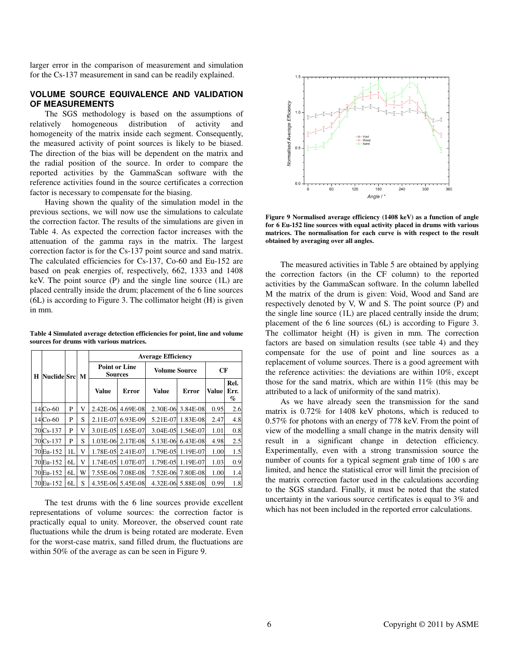larger error in the comparison of measurement and simulation for the Cs-137 measurement in sand can be readily explained.

#### **VOLUME SOURCE EQUIVALENCE AND VALIDATION OF MEASUREMENTS**

The SGS methodology is based on the assumptions of relatively homogeneous distribution of activity and homogeneity of the matrix inside each segment. Consequently, the measured activity of point sources is likely to be biased. The direction of the bias will be dependent on the matrix and the radial position of the source. In order to compare the reported activities by the GammaScan software with the reference activities found in the source certificates a correction factor is necessary to compensate for the biasing.

Having shown the quality of the simulation model in the previous sections, we will now use the simulations to calculate the correction factor. The results of the simulations are given in Table 4. As expected the correction factor increases with the attenuation of the gamma rays in the matrix. The largest correction factor is for the Cs-137 point source and sand matrix. The calculated efficiencies for Cs-137, Co-60 and Eu-152 are based on peak energies of, respectively, 662, 1333 and 1408 keV. The point source (P) and the single line source (1L) are placed centrally inside the drum; placement of the 6 line sources (6L) is according to Figure 3. The collimator height (H) is given in mm.

**Table 4 Simulated average detection efficiencies for point, line and volume sources for drums with various matrices.** 

|                         |            |    |       | <b>Average Efficiency</b>              |                   |                      |                   |                   |     |  |  |
|-------------------------|------------|----|-------|----------------------------------------|-------------------|----------------------|-------------------|-------------------|-----|--|--|
| H<br><b>Nuclide Src</b> |            |    | M     | <b>Point or Line</b><br><b>Sources</b> |                   | <b>Volume Source</b> | CF                |                   |     |  |  |
|                         |            |    | Value | Error                                  | <b>Value</b>      | Error                | Value             | Rel.<br>Err.<br>% |     |  |  |
|                         | $14$ Co-60 | P  | V     |                                        | 2.42E-06 4.69E-08 | 2.30E-06             | 3.84E-08          | 0.95              | 2.6 |  |  |
|                         | 14 Co-60   | P  | S     | 2.11E-07                               | 6.93E-09          | 5.21E-07             | 1.83E-08          | 2.47              | 4.8 |  |  |
|                         | $70Cs-137$ | P  | V     | 3.01E-05                               | 1.65E-07          | 3.04E-05             | 1.56E-07          | 1.01              | 0.8 |  |  |
|                         | 70 Cs-137  | P  | S     |                                        | 1.03E-06 2.17E-08 | 5.13E-06             | 6.43E-08          | 4.98              | 2.5 |  |  |
|                         | 70 Eu-152  | 1L | V     |                                        | 1.78E-05 2.41E-07 | 1.79E-05             | 1.19E-07          | 1.00              | 1.5 |  |  |
|                         | 70 Eu-152  | 6L | V     | 1.74E-05                               | 1.07E-07          | 1.79E-05             | 1.19E-07          | 1.03              | 0.9 |  |  |
|                         | 70Eu-152   | 6L | W     |                                        | 7.55E-06 7.08E-08 | 7.52E-06             | 7.80E-08          | 1.00              | 1.4 |  |  |
|                         | 70Eu-152   | 6L | S     |                                        | 4.35E-06 5.45E-08 |                      | 4.32E-06 5.88E-08 | 0.99              | 1.8 |  |  |

The test drums with the 6 line sources provide excellent representations of volume sources: the correction factor is practically equal to unity. Moreover, the observed count rate fluctuations while the drum is being rotated are moderate. Even for the worst-case matrix, sand filled drum, the fluctuations are within 50% of the average as can be seen in Figure 9.



**Figure 9 Normalised average efficiency (1408 keV) as a function of angle for 6 Eu-152 line sources with equal activity placed in drums with various matrices. The normalisation for each curve is with respect to the result obtained by averaging over all angles.** 

The measured activities in Table 5 are obtained by applying the correction factors (in the CF column) to the reported activities by the GammaScan software. In the column labelled M the matrix of the drum is given: Void, Wood and Sand are respectively denoted by V, W and S. The point source (P) and the single line source (1L) are placed centrally inside the drum; placement of the 6 line sources (6L) is according to Figure 3. The collimator height (H) is given in mm. The correction factors are based on simulation results (see table 4) and they compensate for the use of point and line sources as a replacement of volume sources. There is a good agreement with the reference activities: the deviations are within 10%, except those for the sand matrix, which are within 11% (this may be attributed to a lack of uniformity of the sand matrix).

As we have already seen the transmission for the sand matrix is 0.72% for 1408 keV photons, which is reduced to 0.57% for photons with an energy of 778 keV. From the point of view of the modelling a small change in the matrix density will result in a significant change in detection efficiency. Experimentally, even with a strong transmission source the number of counts for a typical segment grab time of 100 s are limited, and hence the statistical error will limit the precision of the matrix correction factor used in the calculations according to the SGS standard. Finally, it must be noted that the stated uncertainty in the various source certificates is equal to 3% and which has not been included in the reported error calculations.